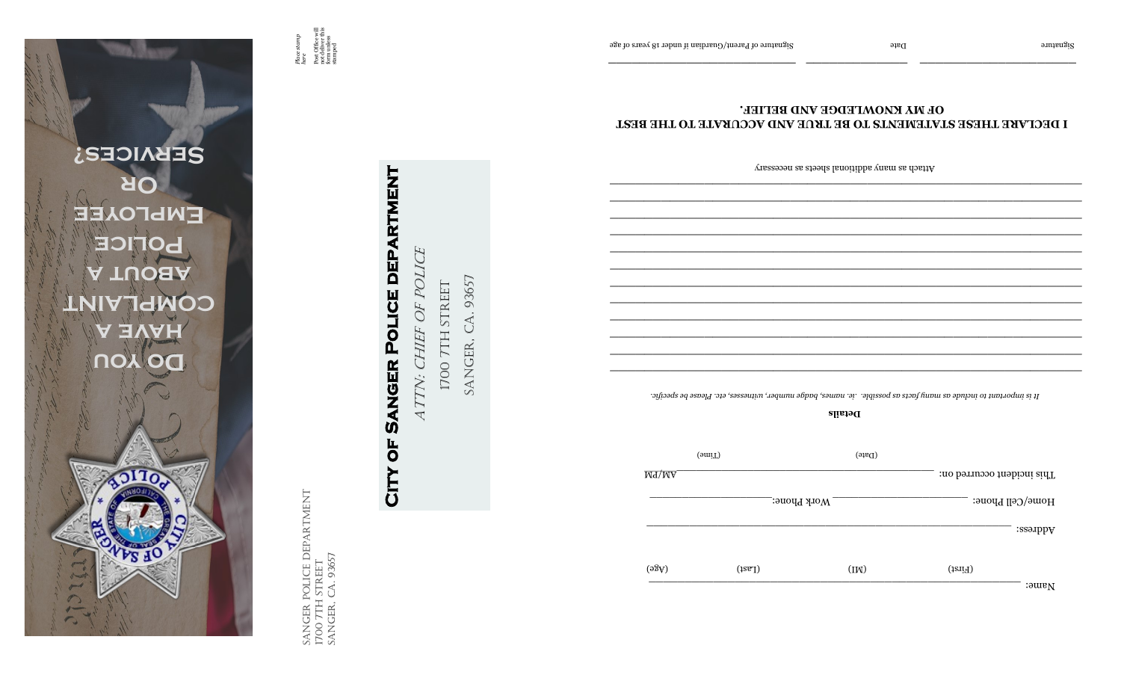

POLICE DEPARTMENT Sanger Police DEPARTment SANGER POLICE DE<br>1700 7TH STREET<br>SANGER, CA. 93657 Sanger, ca. 93657 1700 7th street

# **City of Sanger Police department** Attn: chief of police CITY OF SANGER POLICE DEPARTMENT

POLICE ATTN: CHIEF OF

Sanger, ca. 93657 SANGER, CA. 93657 **I700 7TH STREET** 1700 7th Street

| $(\text{om}(\Gamma))$ |  |
|-----------------------|--|
| M <sub>4</sub> /MA    |  |
| . Work Phone:         |  |
|                       |  |
| (93A)                 |  |
|                       |  |

Attach as many additional sheets as necessary

### **I DECLARE THESE STATEMENTS TO BE TRUE AND ACCURATE TO THE BEST OF MY KNOWLEDGE AND BELIEF.**

**\_\_\_\_\_\_\_\_\_\_\_\_\_ \_\_\_\_\_\_\_\_\_\_\_\_\_\_\_\_\_\_\_\_**

*Place stamp here* Post Office will not deliver this form unless Post Office will<br>not deliver this<br>form unless<br>stamped

Signature of Parent Guardian in Date  $\mathcal{S}$  is the Parent Oriental in the Signature of a signature  $\mathcal{S}$  is a signature  $\mathcal{S}$  is a signature  $\mathcal{S}$  is a signature  $\mathcal{S}$  is a signature  $\mathcal{S}$  is a signature